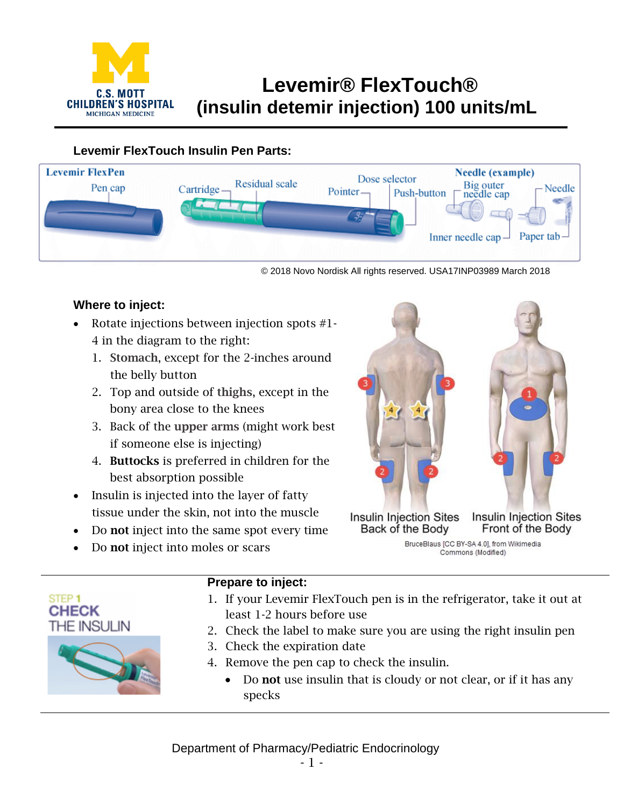

# **Levemir® FlexTouch® (insulin detemir injection) 100 units/mL**

## **Levemir FlexTouch Insulin Pen Parts:**



© 2018 Novo Nordisk All rights reserved. USA17INP03989 March 2018

## **Where to inject:**

- Rotate injections between injection spots #1- 4 in the diagram to the right:
	- 1. Stomach, except for the 2-inches around the belly button
	- 2. Top and outside of thighs, except in the bony area close to the knees
	- 3. Back of the upper arms (might work best if someone else is injecting)
	- 4. Buttocks is preferred in children for the best absorption possible
- Insulin is injected into the layer of fatty tissue under the skin, not into the muscle
- Do not inject into the same spot every time
- Do not inject into moles or scars



Front of the Body Back of the Body BruceBlaus [CC BY-SA 4.0], from Wikimedia Commons (Modified)





### **Prepare to inject:**

- 1. If your Levemir FlexTouch pen is in the refrigerator, take it out at least 1-2 hours before use
- 2. Check the label to make sure you are using the right insulin pen
- 3. Check the expiration date
- 4. Remove the pen cap to check the insulin.
	- Do not use insulin that is cloudy or not clear, or if it has any specks

Department of Pharmacy/Pediatric Endocrinology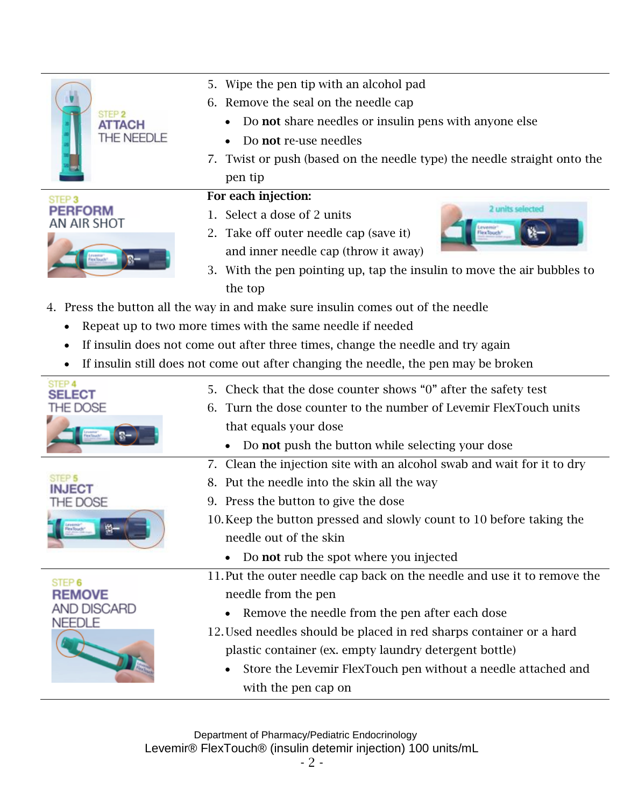|                                                  | 5. Wipe the pen tip with an alcohol pad                                              |
|--------------------------------------------------|--------------------------------------------------------------------------------------|
| STEP <sub>2</sub><br>ATTACH<br><b>THE NEEDLE</b> | 6. Remove the seal on the needle cap                                                 |
|                                                  | Do <b>not</b> share needles or insulin pens with anyone else                         |
|                                                  | Do not re-use needles                                                                |
|                                                  | 7. Twist or push (based on the needle type) the needle straight onto the             |
|                                                  | pen tip                                                                              |
| STEP <sub>3</sub>                                | For each injection:                                                                  |
| <b>ERFORM</b><br>AN AIR SHOT                     | 2 units selected<br>1. Select a dose of 2 units                                      |
|                                                  | 2. Take off outer needle cap (save it)<br><b>Tex Jouch</b>                           |
|                                                  | and inner needle cap (throw it away)                                                 |
|                                                  | 3. With the pen pointing up, tap the insulin to move the air bubbles to              |
|                                                  | the top                                                                              |
|                                                  | 4. Press the button all the way in and make sure insulin comes out of the needle     |
|                                                  | Repeat up to two more times with the same needle if needed                           |
| $\bullet$                                        | If insulin does not come out after three times, change the needle and try again      |
|                                                  | If insulin still does not come out after changing the needle, the pen may be broken  |
|                                                  |                                                                                      |
| STEP 4                                           |                                                                                      |
| <b>SELECT</b>                                    | 5. Check that the dose counter shows "0" after the safety test                       |
| THE DOSE                                         | Turn the dose counter to the number of Levemir FlexTouch units<br>6.                 |
|                                                  | that equals your dose                                                                |
|                                                  | Do not push the button while selecting your dose                                     |
|                                                  | 7. Clean the injection site with an alcohol swab and wait for it to dry              |
|                                                  | Put the needle into the skin all the way<br>8.                                       |
| THE DOSE                                         | 9. Press the button to give the dose                                                 |
|                                                  | 10. Keep the button pressed and slowly count to 10 before taking the                 |
|                                                  | needle out of the skin                                                               |
|                                                  | Do not rub the spot where you injected                                               |
| STEP 6                                           | 11. Put the outer needle cap back on the needle and use it to remove the             |
| <b>REMOVE</b>                                    | needle from the pen                                                                  |
| AND DISCARD<br><b>NEEDLE</b>                     | Remove the needle from the pen after each dose                                       |
|                                                  | 12. Used needles should be placed in red sharps container or a hard                  |
|                                                  | plastic container (ex. empty laundry detergent bottle)                               |
|                                                  | Store the Levemir FlexTouch pen without a needle attached and<br>with the pen cap on |